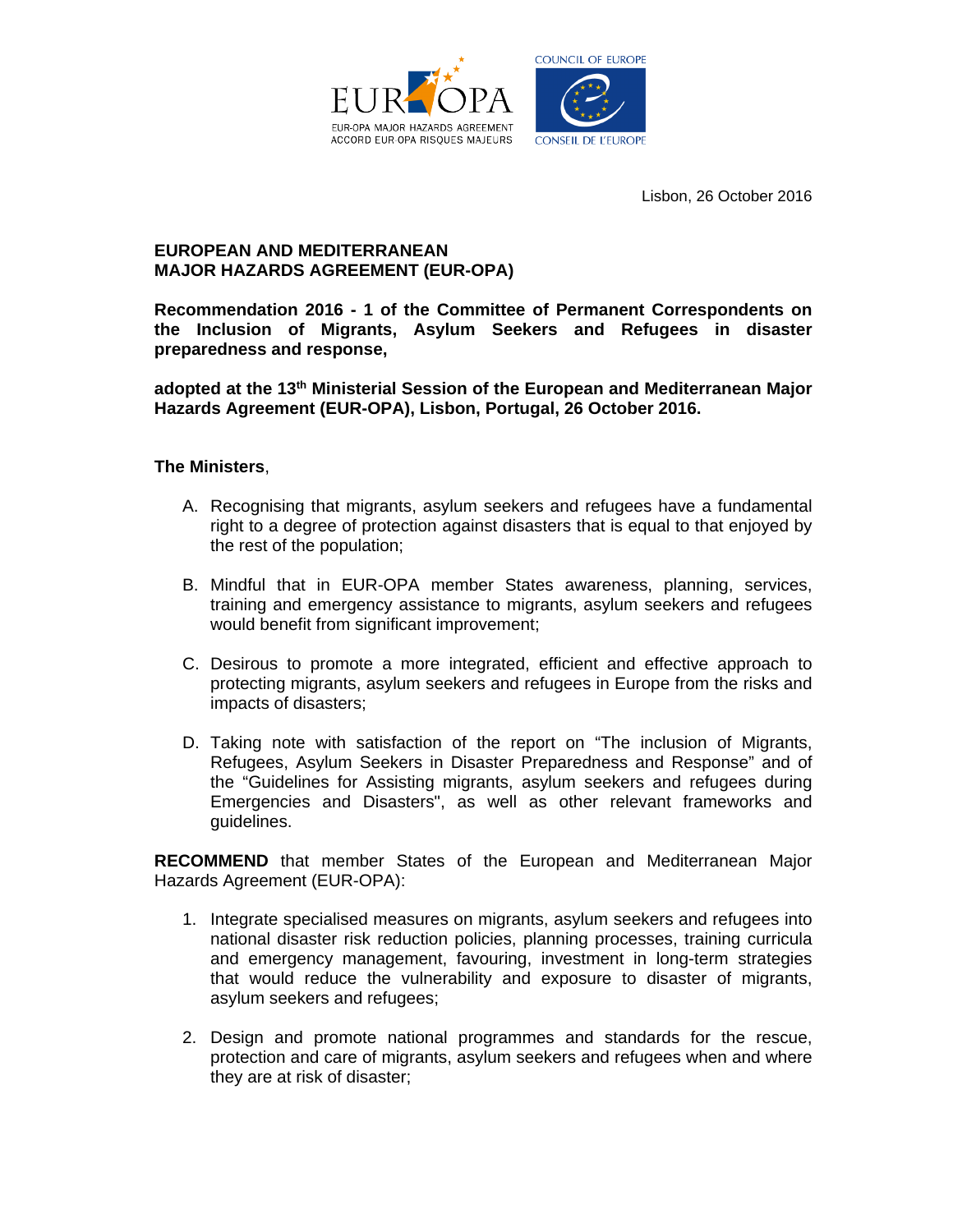

Lisbon, 26 October 2016

## **EUROPEAN AND MEDITERRANEAN MAJOR HAZARDS AGREEMENT (EUR-OPA)**

**Recommendation 2016 - 1 of the Committee of Permanent Correspondents on the Inclusion of Migrants, Asylum Seekers and Refugees in disaster preparedness and response,** 

**adopted at the 13th Ministerial Session of the European and Mediterranean Major Hazards Agreement (EUR-OPA), Lisbon, Portugal, 26 October 2016.**

## **The Ministers**,

- A. Recognising that migrants, asylum seekers and refugees have a fundamental right to a degree of protection against disasters that is equal to that enjoyed by the rest of the population;
- B. Mindful that in EUR-OPA member States awareness, planning, services, training and emergency assistance to migrants, asylum seekers and refugees would benefit from significant improvement;
- C. Desirous to promote a more integrated, efficient and effective approach to protecting migrants, asylum seekers and refugees in Europe from the risks and impacts of disasters;
- D. Taking note with satisfaction of the report on "The inclusion of Migrants, Refugees, Asylum Seekers in Disaster Preparedness and Response" and of the "Guidelines for Assisting migrants, asylum seekers and refugees during Emergencies and Disasters", as well as other relevant frameworks and guidelines.

**RECOMMEND** that member States of the European and Mediterranean Major Hazards Agreement (EUR-OPA):

- 1. Integrate specialised measures on migrants, asylum seekers and refugees into national disaster risk reduction policies, planning processes, training curricula and emergency management, favouring, investment in long-term strategies that would reduce the vulnerability and exposure to disaster of migrants, asylum seekers and refugees;
- 2. Design and promote national programmes and standards for the rescue, protection and care of migrants, asylum seekers and refugees when and where they are at risk of disaster;